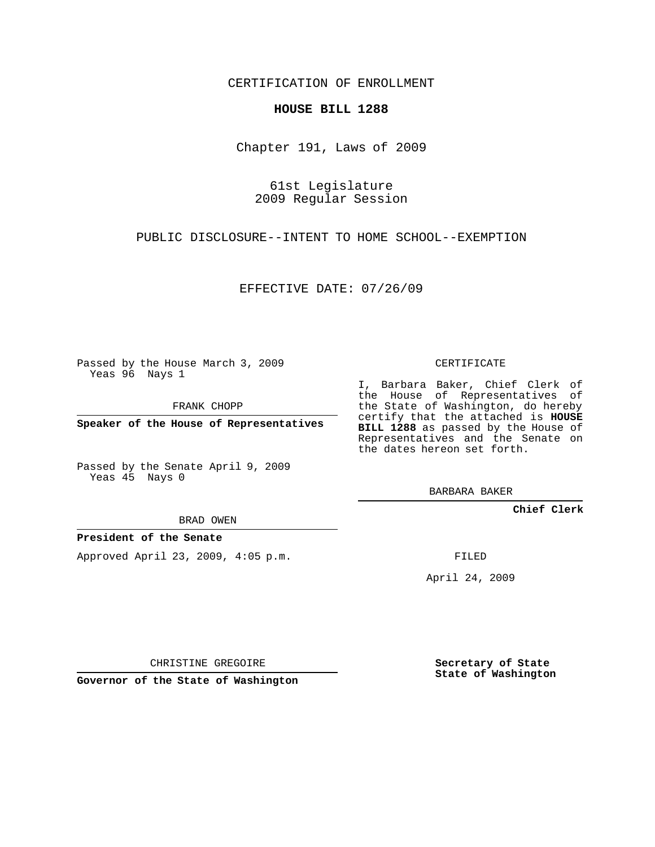CERTIFICATION OF ENROLLMENT

## **HOUSE BILL 1288**

Chapter 191, Laws of 2009

61st Legislature 2009 Regular Session

PUBLIC DISCLOSURE--INTENT TO HOME SCHOOL--EXEMPTION

EFFECTIVE DATE: 07/26/09

Passed by the House March 3, 2009 Yeas 96 Nays 1

FRANK CHOPP

**Speaker of the House of Representatives**

Passed by the Senate April 9, 2009 Yeas 45 Nays 0

BRAD OWEN

## **President of the Senate**

Approved April 23, 2009, 4:05 p.m.

CERTIFICATE

I, Barbara Baker, Chief Clerk of the House of Representatives of the State of Washington, do hereby certify that the attached is **HOUSE BILL 1288** as passed by the House of Representatives and the Senate on the dates hereon set forth.

BARBARA BAKER

**Chief Clerk**

FILED

April 24, 2009

CHRISTINE GREGOIRE

**Governor of the State of Washington**

**Secretary of State State of Washington**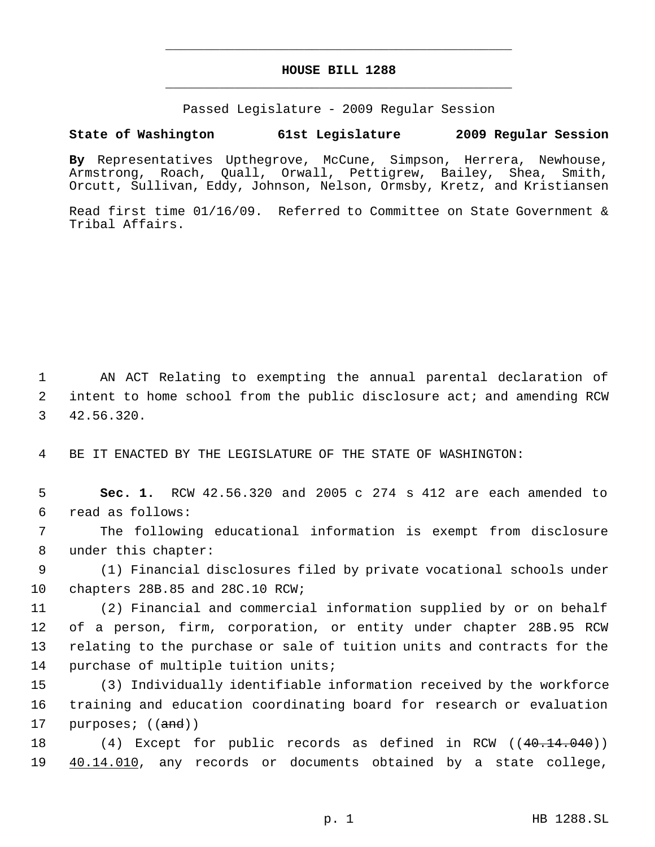## **HOUSE BILL 1288** \_\_\_\_\_\_\_\_\_\_\_\_\_\_\_\_\_\_\_\_\_\_\_\_\_\_\_\_\_\_\_\_\_\_\_\_\_\_\_\_\_\_\_\_\_

\_\_\_\_\_\_\_\_\_\_\_\_\_\_\_\_\_\_\_\_\_\_\_\_\_\_\_\_\_\_\_\_\_\_\_\_\_\_\_\_\_\_\_\_\_

Passed Legislature - 2009 Regular Session

## **State of Washington 61st Legislature 2009 Regular Session**

**By** Representatives Upthegrove, McCune, Simpson, Herrera, Newhouse, Armstrong, Roach, Quall, Orwall, Pettigrew, Bailey, Shea, Smith, Orcutt, Sullivan, Eddy, Johnson, Nelson, Ormsby, Kretz, and Kristiansen

Read first time 01/16/09. Referred to Committee on State Government & Tribal Affairs.

 1 AN ACT Relating to exempting the annual parental declaration of 2 intent to home school from the public disclosure act; and amending RCW 3 42.56.320.

4 BE IT ENACTED BY THE LEGISLATURE OF THE STATE OF WASHINGTON:

 5 **Sec. 1.** RCW 42.56.320 and 2005 c 274 s 412 are each amended to 6 read as follows:

 7 The following educational information is exempt from disclosure 8 under this chapter:

 9 (1) Financial disclosures filed by private vocational schools under 10 chapters 28B.85 and 28C.10 RCW;

 (2) Financial and commercial information supplied by or on behalf of a person, firm, corporation, or entity under chapter 28B.95 RCW relating to the purchase or sale of tuition units and contracts for the purchase of multiple tuition units;

15 (3) Individually identifiable information received by the workforce 16 training and education coordinating board for research or evaluation 17 purposes; ((and))

18 (4) Except for public records as defined in RCW ((40.14.040)) 19 <u>40.14.010</u>, any records or documents obtained by a state college,